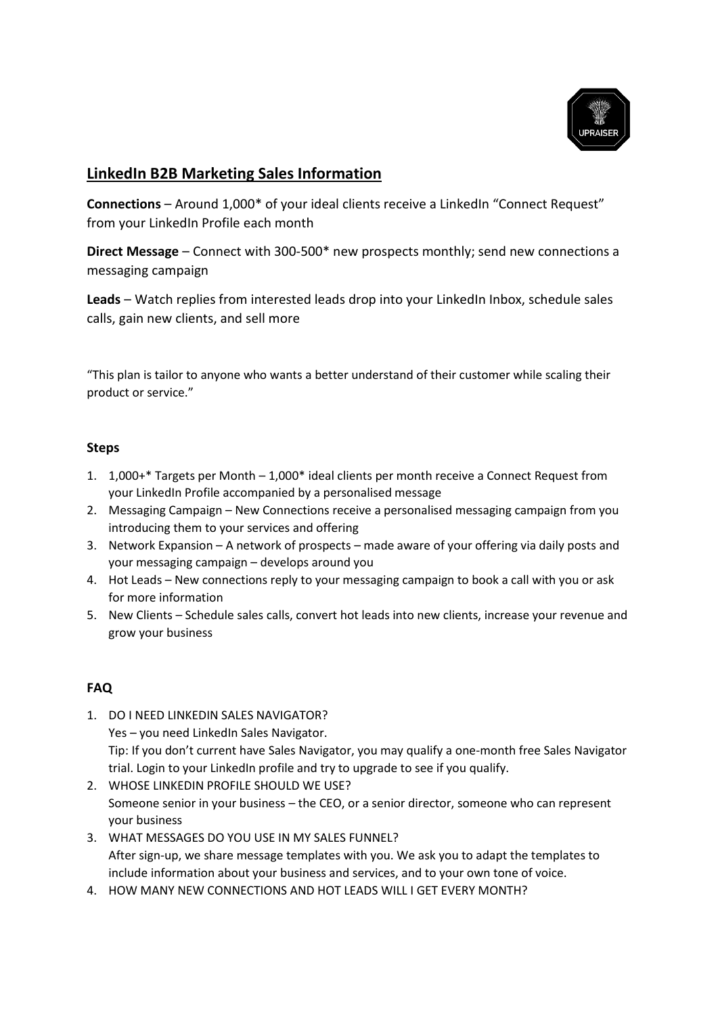

## **LinkedIn B2B Marketing Sales Information**

**Connections** – Around 1,000\* of your ideal clients receive a LinkedIn "Connect Request" from your LinkedIn Profile each month

**Direct Message** – Connect with 300-500\* new prospects monthly; send new connections a messaging campaign

Leads – Watch replies from interested leads drop into your LinkedIn Inbox, schedule sales calls, gain new clients, and sell more

"This plan is tailor to anyone who wants a better understand of their customer while scaling their product or service."

## **Steps**

- 1. 1,000+\* Targets per Month 1,000\* ideal clients per month receive a Connect Request from your LinkedIn Profile accompanied by a personalised message
- 2. Messaging Campaign New Connections receive a personalised messaging campaign from you introducing them to your services and offering
- 3. Network Expansion A network of prospects made aware of your offering via daily posts and your messaging campaign – develops around you
- 4. Hot Leads New connections reply to your messaging campaign to book a call with you or ask for more information
- 5. New Clients Schedule sales calls, convert hot leads into new clients, increase your revenue and grow your business

## **FAQ**

- 1. DO I NEED LINKEDIN SALES NAVIGATOR? Yes – you need LinkedIn Sales Navigator. Tip: If you don't current have Sales Navigator, you may qualify a one-month free Sales Navigator trial. Login to your LinkedIn profile and try to upgrade to see if you qualify.
- 2. WHOSE LINKEDIN PROFILE SHOULD WE USE? Someone senior in your business – the CEO, or a senior director, someone who can represent your business
- 3. WHAT MESSAGES DO YOU USE IN MY SALES FUNNEL? After sign-up, we share message templates with you. We ask you to adapt the templates to include information about your business and services, and to your own tone of voice.
- 4. HOW MANY NEW CONNECTIONS AND HOT LEADS WILL I GET EVERY MONTH?